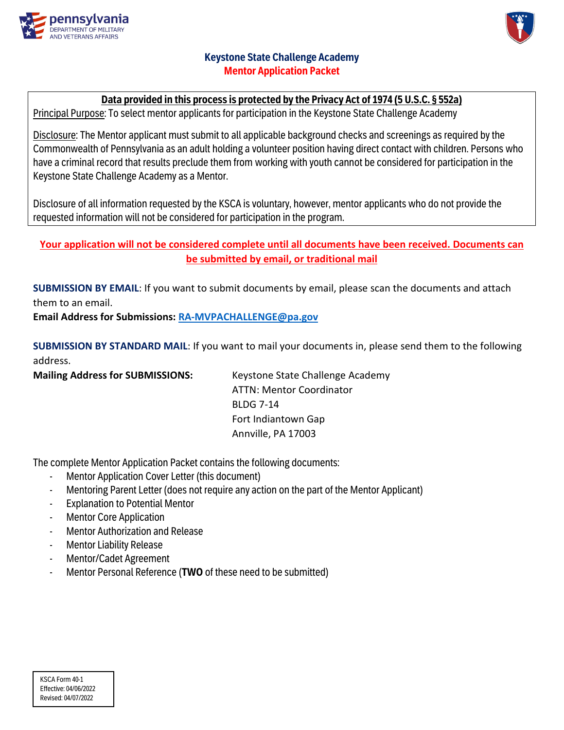



# **Keystone State Challenge Academy Mentor Application Packet**

# **Data provided in this process is protected by the Privacy Act of 1974 (5 U.S.C. § 552a)**

Principal Purpose: To select mentor applicants for participation in the Keystone State Challenge Academy

Disclosure: The Mentor applicant must submit to all applicable background checks and screenings as required by the Commonwealth of Pennsylvania as an adult holding a volunteer position having direct contact with children. Persons who have a criminal record that results preclude them from working with youth cannot be considered for participation in the Keystone State Challenge Academy as a Mentor.

Disclosure of all information requested by the KSCA is voluntary, however, mentor applicants who do not provide the requested information will not be considered for participation in the program.

# **Your application will not be considered complete until all documents have been received. Documents can be submitted by email, or traditional mail**

**SUBMISSION BY EMAIL**: If you want to submit documents by email, please scan the documents and attach them to an email.

**Email Address for Submissions: [RA-MVPACHALLENGE@pa.gov](mailto:RA-MVPACHALLENGE@pa.gov)**

**SUBMISSION BY STANDARD MAIL**: If you want to mail your documents in, please send them to the following address.

**Mailing Address for SUBMISSIONS:** Keystone State Challenge Academy

ATTN: Mentor Coordinator BLDG 7-14 Fort Indiantown Gap Annville, PA 17003

The complete Mentor Application Packet contains the following documents:

- Mentor Application Cover Letter (this document)
- Mentoring Parent Letter (does not require any action on the part of the Mentor Applicant)
- **Explanation to Potential Mentor**
- **Mentor Core Application**
- Mentor Authorization and Release
- **Mentor Liability Release**
- Mentor/Cadet Agreement
- Mentor Personal Reference (**TWO** of these need to be submitted)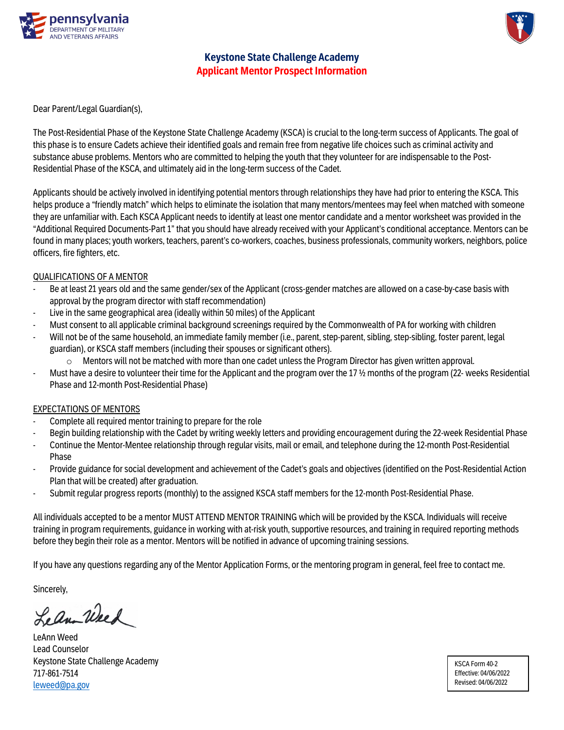

**Keystone State Challenge Academy Applicant Mentor Prospect Information**

Dear Parent/Legal Guardian(s),

The Post-Residential Phase of the Keystone State Challenge Academy (KSCA) is crucial to the long-term success of Applicants. The goal of this phase is to ensure Cadets achieve their identified goals and remain free from negative life choices such as criminal activity and substance abuse problems. Mentors who are committed to helping the youth that they volunteer for are indispensable to the Post-Residential Phase of the KSCA, and ultimately aid in the long-term success of the Cadet.

Applicants should be actively involved in identifying potential mentors through relationships they have had prior to entering the KSCA. This helps produce a "friendly match" which helps to eliminate the isolation that many mentors/mentees may feel when matched with someone they are unfamiliar with. Each KSCA Applicant needs to identify at least one mentor candidate and a mentor worksheet was provided in the "Additional Required Documents-Part 1" that you should have already received with your Applicant's conditional acceptance. Mentors can be found in many places; youth workers, teachers, parent's co-workers, coaches, business professionals, community workers, neighbors, police officers, fire fighters, etc.

## QUALIFICATIONS OF A MENTOR

- Be at least 21 years old and the same gender/sex of the Applicant (cross-gender matches are allowed on a case-by-case basis with approval by the program director with staff recommendation)
- Live in the same geographical area (ideally within 50 miles) of the Applicant
- Must consent to all applicable criminal background screenings required by the Commonwealth of PA for working with children
- Will not be of the same household, an immediate family member (i.e., parent, step-parent, sibling, step-sibling, foster parent, legal guardian), or KSCA staff members (including their spouses or significant others).
	- $\circ$  Mentors will not be matched with more than one cadet unless the Program Director has given written approval.
- Must have a desire to volunteer their time for the Applicant and the program over the 17  $\frac{1}{2}$  months of the program (22- weeks Residential Phase and 12-month Post-Residential Phase)

## EXPECTATIONS OF MENTORS

- Complete all required mentor training to prepare for the role
- Begin building relationship with the Cadet by writing weekly letters and providing encouragement during the 22-week Residential Phase
- Continue the Mentor-Mentee relationship through regular visits, mail or email, and telephone during the 12-month Post-Residential Phase
- Provide guidance for social development and achievement of the Cadet's goals and objectives (identified on the Post-Residential Action Plan that will be created) after graduation.
- Submit regular progress reports (monthly) to the assigned KSCA staff members for the 12-month Post-Residential Phase.

All individuals accepted to be a mentor MUST ATTEND MENTOR TRAINING which will be provided by the KSCA. Individuals will receive training in program requirements, guidance in working with at-risk youth, supportive resources, and training in required reporting methods before they begin their role as a mentor. Mentors will be notified in advance of upcoming training sessions.

If you have any questions regarding any of the Mentor Application Forms, or the mentoring program in general, feel free to contact me.

Sincerely,

Lean Weed

LeAnn Weed Lead Counselor Keystone State Challenge Academy 717-861-7514 [leweed@pa.gov](mailto:leweed@pa.gov)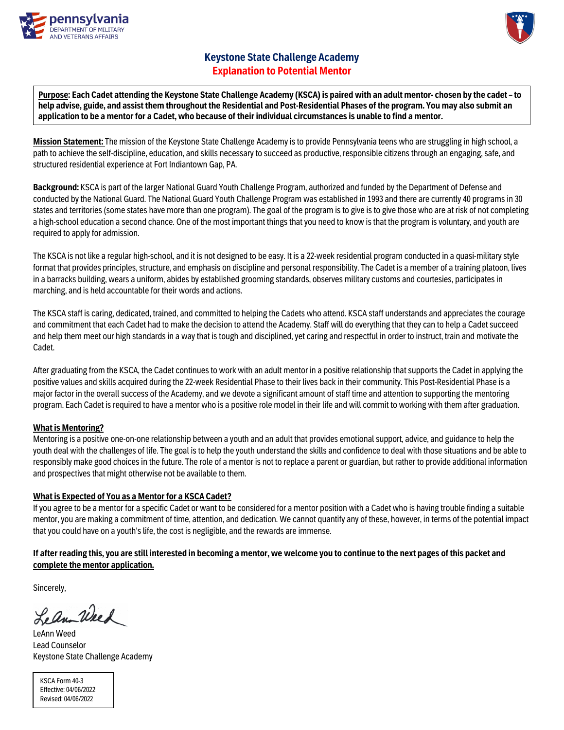



# **Keystone State Challenge Academy Explanation to Potential Mentor**

**Purpose: Each Cadet attending the Keystone State Challenge Academy (KSCA) is paired with an adult mentor- chosen by the cadet –to help advise, guide, and assist them throughout the Residential and Post-Residential Phases of the program. You may also submit an application to be a mentor for a Cadet, who because of their individual circumstances is unable to find a mentor.**

**Mission Statement:** The mission of the Keystone State Challenge Academy is to provide Pennsylvania teens who are struggling in high school, a path to achieve the self-discipline, education, and skills necessary to succeed as productive, responsible citizens through an engaging, safe, and structured residential experience at Fort Indiantown Gap, PA.

**Background:** KSCA is part of the larger National Guard Youth Challenge Program, authorized and funded by the Department of Defense and conducted by the National Guard. The National Guard Youth Challenge Program was established in 1993 and there are currently 40 programs in 30 states and territories (some states have more than one program). The goal of the program is to give is to give those who are at risk of not completing a high-school education a second chance. One of the most important things that you need to know is that the program is voluntary, and youth are required to apply for admission.

The KSCA is not like a regular high-school, and it is not designed to be easy. It is a 22-week residential program conducted in a quasi-military style format that provides principles, structure, and emphasis on discipline and personal responsibility. The Cadet is a member of a training platoon, lives in a barracks building, wears a uniform, abides by established grooming standards, observes military customs and courtesies, participates in marching, and is held accountable for their words and actions.

The KSCA staff is caring, dedicated, trained, and committed to helping the Cadets who attend. KSCA staff understands and appreciates the courage and commitment that each Cadet had to make the decision to attend the Academy. Staff will do everything that they can to help a Cadet succeed and help them meet our high standards in a way that is tough and disciplined, yet caring and respectful in order to instruct, train and motivate the Cadet.

After graduating from the KSCA, the Cadet continues to work with an adult mentor in a positive relationship that supports the Cadet in applying the positive values and skills acquired during the 22-week Residential Phase to their lives back in their community. This Post-Residential Phase is a major factor in the overall success of the Academy, and we devote a significant amount of staff time and attention to supporting the mentoring program. Each Cadet is required to have a mentor who is a positive role model in their life and will commit to working with them after graduation.

## **What is Mentoring?**

Mentoring is a positive one-on-one relationship between a youth and an adult that provides emotional support, advice, and guidance to help the youth deal with the challenges of life. The goal is to help the youth understand the skills and confidence to deal with those situations and be able to responsibly make good choices in the future. The role of a mentor is not to replace a parent or guardian, but rather to provide additional information and prospectives that might otherwise not be available to them.

## **What is Expected of You as a Mentor for a KSCA Cadet?**

If you agree to be a mentor for a specific Cadet or want to be considered for a mentor position with a Cadet who is having trouble finding a suitable mentor, you are making a commitment of time, attention, and dedication. We cannot quantify any of these, however, in terms of the potential impact that you could have on a youth's life, the cost is negligible, and the rewards are immense.

## **If after reading this, you are still interested in becoming a mentor, we welcome you to continue to the next pages of this packet and complete the mentor application.**

Sincerely,

Lean Weed

LeAnn Weed Lead Counselor Keystone State Challenge Academy

KSCA Form 40-3 Effective: 04/06/2022 Revised: 04/06/2022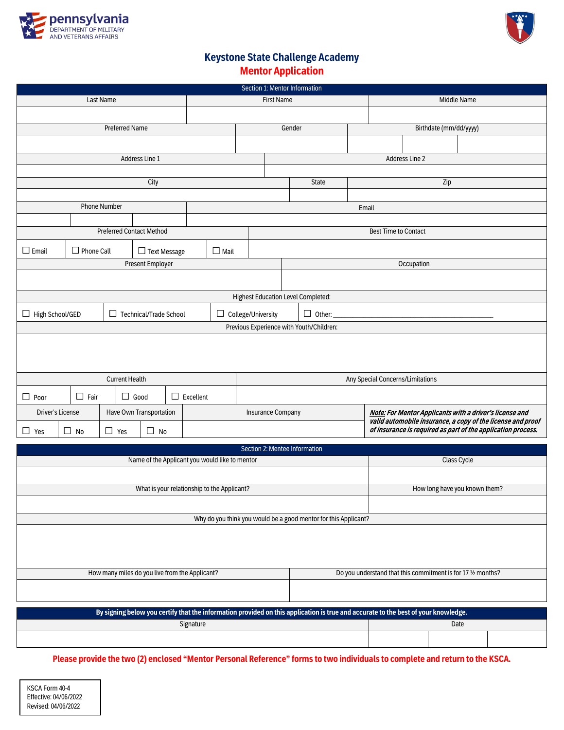



# **Keystone State Challenge Academy Mentor Application**

|                   | Section 1: Mentor Information |                     |                       |                                 |  |                                                |                           |                                  |                                                                                                                                    |  |                                                              |                |     |                               |                                                                                                                             |
|-------------------|-------------------------------|---------------------|-----------------------|---------------------------------|--|------------------------------------------------|---------------------------|----------------------------------|------------------------------------------------------------------------------------------------------------------------------------|--|--------------------------------------------------------------|----------------|-----|-------------------------------|-----------------------------------------------------------------------------------------------------------------------------|
|                   |                               | Last Name           |                       |                                 |  |                                                |                           | <b>First Name</b>                |                                                                                                                                    |  |                                                              |                |     | Middle Name                   |                                                                                                                             |
|                   |                               |                     |                       |                                 |  |                                                |                           |                                  |                                                                                                                                    |  |                                                              |                |     |                               |                                                                                                                             |
|                   |                               |                     | <b>Preferred Name</b> |                                 |  |                                                |                           | Birthdate (mm/dd/yyyy)<br>Gender |                                                                                                                                    |  |                                                              |                |     |                               |                                                                                                                             |
|                   |                               |                     |                       |                                 |  |                                                |                           |                                  |                                                                                                                                    |  |                                                              |                |     |                               |                                                                                                                             |
|                   |                               |                     |                       | Address Line 1                  |  |                                                |                           |                                  |                                                                                                                                    |  |                                                              | Address Line 2 |     |                               |                                                                                                                             |
|                   |                               |                     |                       |                                 |  |                                                |                           |                                  |                                                                                                                                    |  |                                                              |                |     |                               |                                                                                                                             |
|                   |                               |                     |                       | City                            |  |                                                |                           |                                  | State                                                                                                                              |  |                                                              |                | Zip |                               |                                                                                                                             |
|                   |                               |                     |                       |                                 |  |                                                |                           |                                  |                                                                                                                                    |  |                                                              |                |     |                               |                                                                                                                             |
|                   |                               | <b>Phone Number</b> |                       |                                 |  |                                                |                           |                                  |                                                                                                                                    |  | Email                                                        |                |     |                               |                                                                                                                             |
|                   |                               |                     |                       |                                 |  |                                                |                           |                                  |                                                                                                                                    |  |                                                              |                |     |                               |                                                                                                                             |
|                   |                               |                     |                       | <b>Preferred Contact Method</b> |  |                                                |                           |                                  |                                                                                                                                    |  | <b>Best Time to Contact</b>                                  |                |     |                               |                                                                                                                             |
| $\Box$ Email      | $\Box$ Phone Call             |                     |                       | $\Box$ Text Message             |  | $\Box$ Mail                                    |                           |                                  |                                                                                                                                    |  |                                                              |                |     |                               |                                                                                                                             |
|                   |                               |                     |                       | Present Employer                |  |                                                |                           |                                  |                                                                                                                                    |  |                                                              | Occupation     |     |                               |                                                                                                                             |
|                   |                               |                     |                       |                                 |  |                                                |                           |                                  |                                                                                                                                    |  |                                                              |                |     |                               |                                                                                                                             |
|                   |                               |                     |                       |                                 |  |                                                |                           |                                  | <b>Highest Education Level Completed:</b>                                                                                          |  |                                                              |                |     |                               |                                                                                                                             |
| □ High School/GED |                               | п                   |                       | Technical/Trade School          |  |                                                | $\Box$ College/University |                                  | $\Box$ Other:                                                                                                                      |  |                                                              |                |     |                               |                                                                                                                             |
|                   |                               |                     |                       |                                 |  |                                                |                           |                                  | Previous Experience with Youth/Children:                                                                                           |  |                                                              |                |     |                               |                                                                                                                             |
|                   |                               |                     |                       |                                 |  |                                                |                           |                                  |                                                                                                                                    |  |                                                              |                |     |                               |                                                                                                                             |
|                   |                               |                     |                       |                                 |  |                                                |                           |                                  |                                                                                                                                    |  |                                                              |                |     |                               |                                                                                                                             |
|                   |                               |                     |                       |                                 |  |                                                |                           |                                  |                                                                                                                                    |  |                                                              |                |     |                               |                                                                                                                             |
|                   |                               |                     | <b>Current Health</b> |                                 |  |                                                |                           |                                  |                                                                                                                                    |  | Any Special Concerns/Limitations                             |                |     |                               |                                                                                                                             |
| $\Box$ Poor       | $\Box$ Fair                   |                     | $\Box$ Good           |                                 |  | $\Box$ Excellent                               |                           |                                  |                                                                                                                                    |  |                                                              |                |     |                               |                                                                                                                             |
| Driver's License  |                               |                     |                       | Have Own Transportation         |  |                                                |                           | <b>Insurance Company</b>         |                                                                                                                                    |  |                                                              |                |     |                               | Note: For Mentor Applicants with a driver's license and                                                                     |
| $\Box$ Yes        | $\Box$ No                     |                     | $\Box$ Yes            |                                 |  |                                                |                           |                                  |                                                                                                                                    |  |                                                              |                |     |                               | valid automobile insurance, a copy of the license and proof<br>of insurance is required as part of the application process. |
|                   |                               |                     |                       | $\Box$ No                       |  |                                                |                           |                                  |                                                                                                                                    |  |                                                              |                |     |                               |                                                                                                                             |
|                   |                               |                     |                       |                                 |  |                                                |                           |                                  | Section 2: Mentee Information                                                                                                      |  |                                                              |                |     |                               |                                                                                                                             |
|                   |                               |                     |                       |                                 |  | Name of the Applicant you would like to mentor |                           |                                  |                                                                                                                                    |  |                                                              |                |     | Class Cycle                   |                                                                                                                             |
|                   |                               |                     |                       |                                 |  |                                                |                           |                                  |                                                                                                                                    |  |                                                              |                |     |                               |                                                                                                                             |
|                   |                               |                     |                       |                                 |  | What is your relationship to the Applicant?    |                           |                                  |                                                                                                                                    |  |                                                              |                |     | How long have you known them? |                                                                                                                             |
|                   |                               |                     |                       |                                 |  |                                                |                           |                                  |                                                                                                                                    |  |                                                              |                |     |                               |                                                                                                                             |
|                   |                               |                     |                       |                                 |  |                                                |                           |                                  | Why do you think you would be a good mentor for this Applicant?                                                                    |  |                                                              |                |     |                               |                                                                                                                             |
|                   |                               |                     |                       |                                 |  |                                                |                           |                                  |                                                                                                                                    |  |                                                              |                |     |                               |                                                                                                                             |
|                   |                               |                     |                       |                                 |  |                                                |                           |                                  |                                                                                                                                    |  |                                                              |                |     |                               |                                                                                                                             |
|                   |                               |                     |                       |                                 |  |                                                |                           |                                  |                                                                                                                                    |  |                                                              |                |     |                               |                                                                                                                             |
|                   |                               |                     |                       |                                 |  | How many miles do you live from the Applicant? |                           |                                  |                                                                                                                                    |  | Do you understand that this commitment is for 17 1/2 months? |                |     |                               |                                                                                                                             |
|                   |                               |                     |                       |                                 |  |                                                |                           |                                  |                                                                                                                                    |  |                                                              |                |     |                               |                                                                                                                             |
|                   |                               |                     |                       |                                 |  |                                                |                           |                                  |                                                                                                                                    |  |                                                              |                |     |                               |                                                                                                                             |
|                   |                               |                     |                       |                                 |  |                                                |                           |                                  | By signing below you certify that the information provided on this application is true and accurate to the best of your knowledge. |  |                                                              |                |     |                               |                                                                                                                             |
|                   |                               |                     |                       |                                 |  | Signature                                      |                           |                                  |                                                                                                                                    |  |                                                              |                |     | Date                          |                                                                                                                             |
|                   |                               |                     |                       |                                 |  |                                                |                           |                                  |                                                                                                                                    |  |                                                              |                |     |                               |                                                                                                                             |

**Please provide the two (2) enclosed "Mentor Personal Reference" forms to two individuals to complete and return to the KSCA.**

KSCA Form 40-4 Effective: 04/06/2022 Revised: 04/06/2022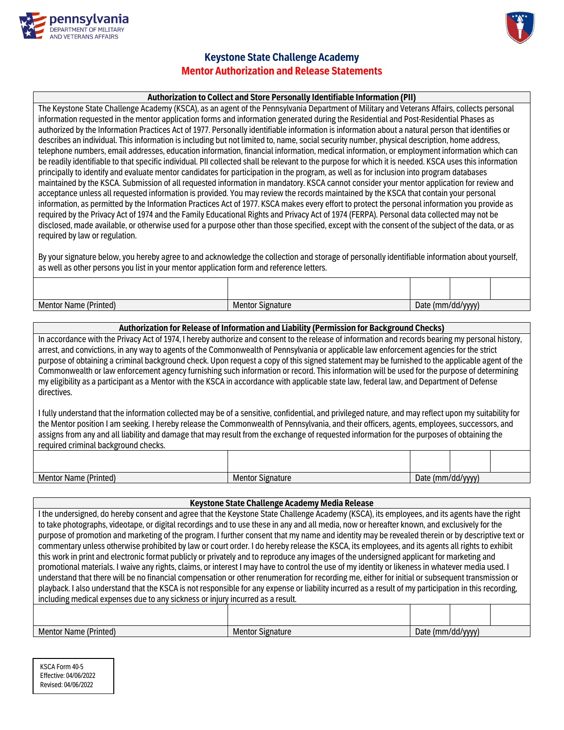



## **Keystone State Challenge Academy Mentor Authorization and Release Statements**

## **Authorization to Collect and Store Personally Identifiable Information (PII)**

The Keystone State Challenge Academy (KSCA), as an agent of the Pennsylvania Department of Military and Veterans Affairs, collects personal information requested in the mentor application forms and information generated during the Residential and Post-Residential Phases as authorized by the Information Practices Act of 1977. Personally identifiable information is information about a natural person that identifies or describes an individual. This information is including but not limited to, name, social security number, physical description, home address, telephone numbers, email addresses, education information, financial information, medical information, or employment information which can be readily identifiable to that specific individual. PII collected shall be relevant to the purpose for which it is needed. KSCA uses this information principally to identify and evaluate mentor candidates for participation in the program, as well as for inclusion into program databases maintained by the KSCA. Submission of all requested information in mandatory. KSCA cannot consider your mentor application for review and acceptance unless all requested information is provided. You may review the records maintained by the KSCA that contain your personal information, as permitted by the Information Practices Act of 1977. KSCA makes every effort to protect the personal information you provide as required by the Privacy Act of 1974 and the Family Educational Rights and Privacy Act of 1974 (FERPA). Personal data collected may not be disclosed, made available, or otherwise used for a purpose other than those specified, except with the consent of the subject of the data, or as required by law or regulation.

By your signature below, you hereby agree to and acknowledge the collection and storage of personally identifiable information about yourself, as well as other persons you list in your mentor application form and reference letters.

Mentor Name (Printed) Mentor Signature Mentor Signature Date (mm/dd/yyyy)

#### **Authorization for Release of Information and Liability (Permission for Background Checks)**

In accordance with the Privacy Act of 1974, I hereby authorize and consent to the release of information and records bearing my personal history, arrest, and convictions, in any way to agents of the Commonwealth of Pennsylvania or applicable law enforcement agenciesfor the strict purpose of obtaining a criminal background check. Upon request a copy of this signed statement may be furnished to the applicable agent of the Commonwealth or law enforcement agency furnishing such information or record. This information will be used for the purpose of determining my eligibility as a participant as a Mentor with the KSCA in accordance with applicable state law, federal law, and Department of Defense directives.

I fully understand that the information collected may be of a sensitive, confidential, and privileged nature, and may reflect upon my suitability for the Mentor position I am seeking. I hereby release the Commonwealth of Pennsylvania, and their officers, agents, employees, successors, and assigns from any and all liability and damage that may result from the exchange of requested information for the purposes of obtaining the required criminal background checks.

| Mentor<br>: (Printed)<br>Name | Signature<br>Mentor | Date (m<br>www\hr<br>ш<br>, uu |  |  |
|-------------------------------|---------------------|--------------------------------|--|--|

#### **Keystone State Challenge Academy Media Release**

I the undersigned, do hereby consent and agree that the Keystone State Challenge Academy (KSCA), its employees, and its agents have the right to take photographs, videotape, or digital recordings and to use these in any and all media, now or hereafter known, and exclusively for the purpose of promotion and marketing of the program. I further consent that my name and identity may be revealed therein or by descriptive text or commentary unless otherwise prohibited by law or court order. I do hereby release the KSCA, its employees, and its agents all rights to exhibit this work in print and electronic format publicly or privately and to reproduce any images of the undersigned applicant for marketing and promotional materials. I waive any rights, claims, or interest I may have to control the use of my identity or likenessin whatever media used. I understand that there will be no financial compensation or other renumeration for recording me, either for initial or subsequent transmission or playback. I also understand that the KSCA is not responsible for any expense or liability incurred as a result of my participation in this recording, including medical expenses due to any sickness or injury incurred as a result.

| Mentor<br>' Name (Printed) | ' Signature<br>Mentor | u\uvvy\hu\n<br>Date<br>m <sub>m</sub><br>·uu |  |  |
|----------------------------|-----------------------|----------------------------------------------|--|--|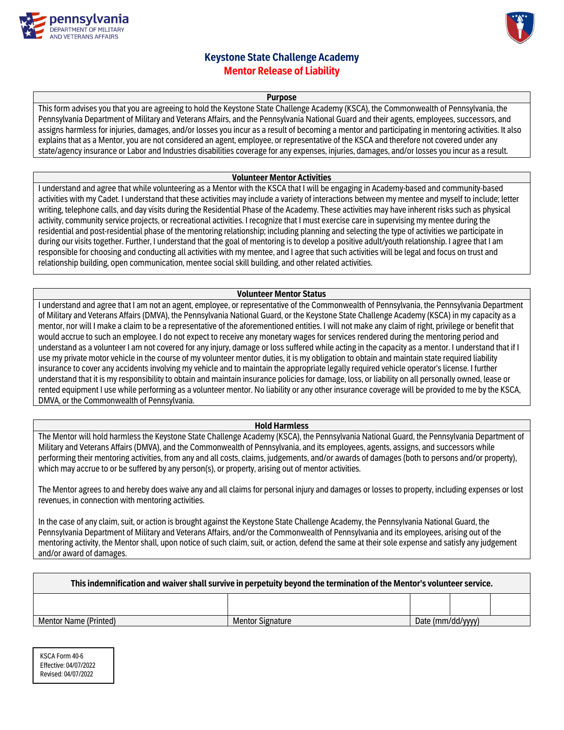



# **Keystone State Challenge Academy Mentor Release of Liability**

#### **Purpose**

This form advises you that you are agreeing to hold the Keystone State Challenge Academy (KSCA), the Commonwealth of Pennsylvania, the Pennsylvania Department of Military and Veterans Affairs, and the Pennsylvania National Guard and their agents, employees, successors, and assigns harmless for injuries, damages, and/or losses you incur as a result of becoming a mentor and participating in mentoring activities. It also explains that as a Mentor, you are not considered an agent, employee, or representative of the KSCA and therefore not covered under any state/agency insurance or Labor and Industries disabilities coverage for any expenses, injuries, damages, and/or losses you incur as a result.

#### **Volunteer Mentor Activities**

I understand and agree that while volunteering as a Mentor with the KSCA that I will be engaging in Academy-based and community-based activities with my Cadet. I understand that these activities may include a variety of interactions between my mentee and myself to include; letter writing, telephone calls, and day visits during the Residential Phase of the Academy. These activities may have inherent risks such as physical activity, community service projects, or recreational activities. I recognize that I must exercise care in supervising my mentee during the residential and post-residential phase of the mentoring relationship; including planning and selecting the type of activities we participate in during our visits together. Further, I understand that the goal of mentoring is to develop a positive adult/youth relationship. I agree that I am responsible for choosing and conducting all activities with my mentee, and I agree that such activities will be legal and focus on trust and relationship building, open communication, mentee social skill building, and other related activities.

#### **Volunteer Mentor Status**

I understand and agree that I am not an agent, employee, or representative of the Commonwealth of Pennsylvania, the Pennsylvania Department of Military and Veterans Affairs (DMVA), the Pennsylvania National Guard, or the Keystone State Challenge Academy (KSCA) in my capacity as a mentor, nor will I make a claim to be a representative of the aforementioned entities. I will not make any claim of right, privilege or benefit that would accrue to such an employee. I do not expect to receive any monetary wages for services rendered during the mentoring period and understand as a volunteer I am not covered for any injury, damage or loss suffered while acting in the capacity as a mentor. I understand that if I use my private motor vehicle in the course of my volunteer mentor duties, it is my obligation to obtain and maintain state required liability insurance to cover any accidents involving my vehicle and to maintain the appropriate legally required vehicle operator's license. I further understand that it is my responsibility to obtain and maintain insurance policies for damage, loss, or liability on all personally owned, lease or rented equipment I use while performing as a volunteer mentor. No liability or any other insurance coverage will be provided to me by the KSCA, DMVA, or the Commonwealth of Pennsylvania.

#### **Hold Harmless**

The Mentor will hold harmless the Keystone State Challenge Academy (KSCA), the Pennsylvania National Guard, the Pennsylvania Department of Military and Veterans Affairs (DMVA), and the Commonwealth of Pennsylvania, and its employees, agents, assigns, and successors while performing their mentoring activities, from any and all costs, claims, judgements, and/or awards of damages (both to persons and/or property), which may accrue to or be suffered by any person(s), or property, arising out of mentor activities.

The Mentor agrees to and hereby does waive any and all claims for personal injury and damages or losses to property, including expenses or lost revenues, in connection with mentoring activities.

In the case of any claim, suit, or action is brought against the Keystone State Challenge Academy, the Pennsylvania National Guard, the Pennsylvania Department of Military and Veterans Affairs, and/or the Commonwealth of Pennsylvania and its employees, arising out of the mentoring activity, the Mentor shall, upon notice of such claim, suit, or action, defend the same at their sole expense and satisfy any judgement and/or award of damages.

| This indemnification and waiver shall survive in perpetuity beyond the termination of the Mentor's volunteer service. |                         |                   |  |  |  |  |  |  |  |  |
|-----------------------------------------------------------------------------------------------------------------------|-------------------------|-------------------|--|--|--|--|--|--|--|--|
|                                                                                                                       |                         |                   |  |  |  |  |  |  |  |  |
| Mentor Name (Printed)                                                                                                 | <b>Mentor Signature</b> | Date (mm/dd/yyyy) |  |  |  |  |  |  |  |  |

KSCA Form 40-6 Effective: 04/07/2022 Revised: 04/07/2022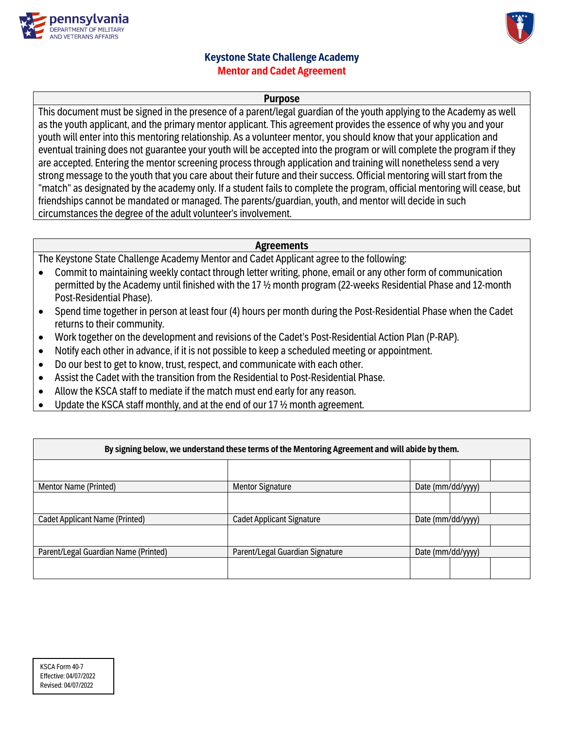



# **Keystone State Challenge Academy Mentor and Cadet Agreement**

## **Purpose**

This document must be signed in the presence of a parent/legal guardian of the youth applying to the Academy as well asthe youth applicant, and the primary mentor applicant. This agreement provides the essence of why you and your youth will enter into this mentoring relationship. As a volunteer mentor, you should know that your application and eventual training does not guarantee your youth will be accepted into the program or will complete the program if they are accepted. Entering the mentor screening process through application and training will nonetheless send a very strong message to the youth that you care about their future and their success. Official mentoring will start from the "match" as designated by the academy only. If a student fails to complete the program, official mentoring will cease, but friendships cannot be mandated or managed. The parents/guardian, youth, and mentor will decide in such circumstances the degree of the adult volunteer's involvement.

## **Agreements**

The Keystone State Challenge Academy Mentor and Cadet Applicant agree to the following:

- Commit to maintaining weekly contact through letter writing, phone, email or any other form of communication permitted by the Academy until finished with the 17 ½ month program (22-weeks Residential Phase and 12-month Post-Residential Phase).
- Spend time together in person at least four (4) hours per month during the Post-Residential Phase when the Cadet returns to their community.
- Work together on the development and revisions of the Cadet's Post-Residential Action Plan (P-RAP).
- Notify each other in advance, if it is not possible to keep a scheduled meeting or appointment.
- Do our best to get to know, trust, respect, and communicate with each other.
- Assist the Cadet with the transition from the Residential to Post-Residential Phase.
- Allow the KSCA staff to mediate if the match must end early for any reason.
- Update the KSCA staff monthly, and at the end of our 17 ½ month agreement.

| By signing below, we understand these terms of the Mentoring Agreement and will abide by them. |                                  |                   |  |  |  |  |  |  |  |
|------------------------------------------------------------------------------------------------|----------------------------------|-------------------|--|--|--|--|--|--|--|
|                                                                                                |                                  |                   |  |  |  |  |  |  |  |
| Mentor Name (Printed)                                                                          | <b>Mentor Signature</b>          | Date (mm/dd/yyyy) |  |  |  |  |  |  |  |
|                                                                                                |                                  |                   |  |  |  |  |  |  |  |
| <b>Cadet Applicant Name (Printed)</b>                                                          | <b>Cadet Applicant Signature</b> | Date (mm/dd/yyyy) |  |  |  |  |  |  |  |
|                                                                                                |                                  |                   |  |  |  |  |  |  |  |
| Parent/Legal Guardian Name (Printed)<br>Parent/Legal Guardian Signature<br>Date (mm/dd/yyyy)   |                                  |                   |  |  |  |  |  |  |  |
|                                                                                                |                                  |                   |  |  |  |  |  |  |  |